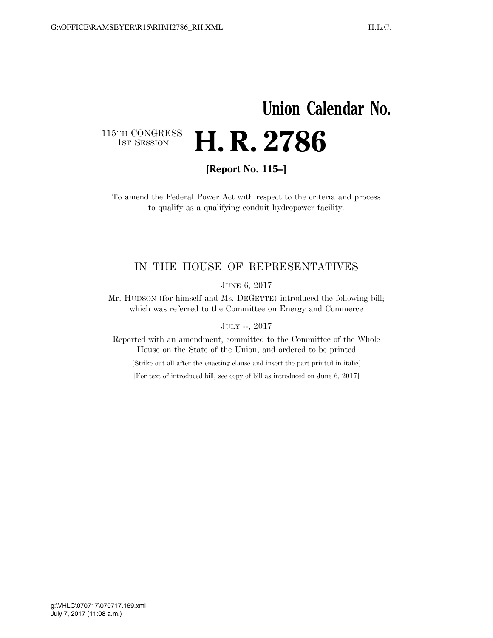## **Union Calendar No.**  115TH CONGRESS<br>1st Session H. R. 2786

**[Report No. 115–]** 

To amend the Federal Power Act with respect to the criteria and process to qualify as a qualifying conduit hydropower facility.

## IN THE HOUSE OF REPRESENTATIVES

JUNE 6, 2017

Mr. HUDSON (for himself and Ms. DEGETTE) introduced the following bill; which was referred to the Committee on Energy and Commerce

JULY --, 2017

Reported with an amendment, committed to the Committee of the Whole House on the State of the Union, and ordered to be printed

[Strike out all after the enacting clause and insert the part printed in italic]

[For text of introduced bill, see copy of bill as introduced on June 6, 2017]

July 7, 2017 (11:08 a.m.) g:\VHLC\070717\070717.169.xml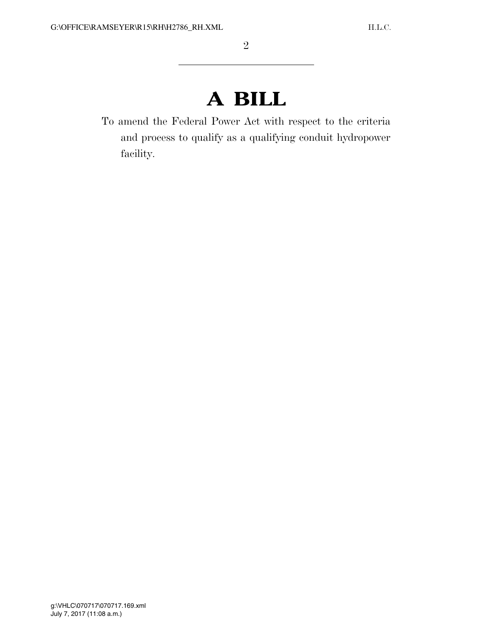## **A BILL**

To amend the Federal Power Act with respect to the criteria and process to qualify as a qualifying conduit hydropower facility.